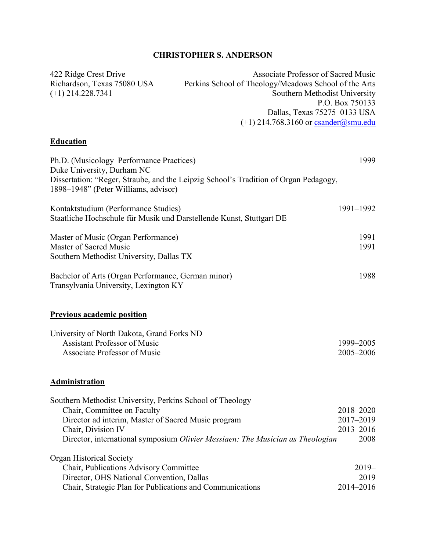## **CHRISTOPHER S. ANDERSON**

| 422 Ridge Crest Drive                    | <b>Associate Professor of Sacred Music</b>                                           |
|------------------------------------------|--------------------------------------------------------------------------------------|
| Richardson, Texas 75080 USA              | Perkins School of Theology/Meadows School of the Arts                                |
| $(+1)$ 214.228.7341                      | Southern Methodist University                                                        |
|                                          | P.O. Box 750133                                                                      |
|                                          | Dallas, Texas 75275-0133 USA                                                         |
|                                          | $(+1)$ 214.768.3160 or csander@smu.edu                                               |
| <b>Education</b>                         |                                                                                      |
| Ph.D. (Musicology–Performance Practices) | 1999                                                                                 |
| Duke University, Durham NC               |                                                                                      |
|                                          | Dissertation: "Reger, Straube, and the Leipzig School's Tradition of Organ Pedagogy, |
| 1898–1948" (Peter Williams, advisor)     |                                                                                      |

Kontaktstudium (Performance Studies) 1991–1992 Staatliche Hochschule für Musik und Darstellende Kunst, Stuttgart DE Master of Music (Organ Performance) 1991 Master of Sacred Music 1991

Southern Methodist University, Dallas TX Bachelor of Arts (Organ Performance, German minor) 1988 Transylvania University, Lexington KY

#### **Previous academic position**

| University of North Dakota, Grand Forks ND |           |
|--------------------------------------------|-----------|
| Assistant Professor of Music               | 1999–2005 |
| Associate Professor of Music               | 2005–2006 |

#### **Administration**

| Southern Methodist University, Perkins School of Theology                      |               |
|--------------------------------------------------------------------------------|---------------|
| Chair, Committee on Faculty                                                    | 2018-2020     |
| Director ad interim, Master of Sacred Music program                            | 2017-2019     |
| Chair, Division IV                                                             | $2013 - 2016$ |
| Director, international symposium Olivier Messiaen: The Musician as Theologian | 2008          |
|                                                                                |               |
| <b>Organ Historical Society</b>                                                |               |
| Chair, Publications Advisory Committee                                         | $2019-$       |
| Director, OHS National Convention, Dallas                                      | 2019          |
| Chair, Strategic Plan for Publications and Communications                      | 2014-2016     |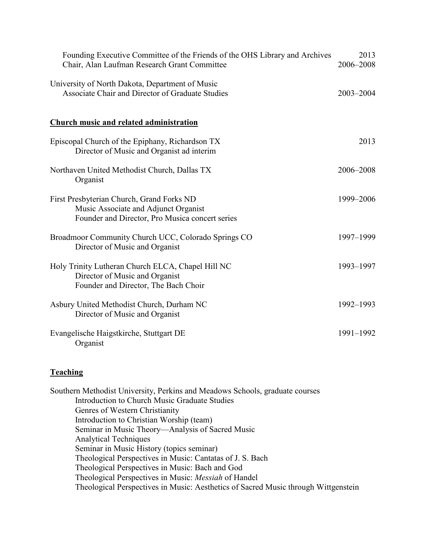| Founding Executive Committee of the Friends of the OHS Library and Archives<br>Chair, Alan Laufman Research Grant Committee          | 2013<br>2006-2008 |
|--------------------------------------------------------------------------------------------------------------------------------------|-------------------|
| University of North Dakota, Department of Music<br>Associate Chair and Director of Graduate Studies                                  | 2003-2004         |
| <b>Church music and related administration</b>                                                                                       |                   |
| Episcopal Church of the Epiphany, Richardson TX<br>Director of Music and Organist ad interim                                         | 2013              |
| Northaven United Methodist Church, Dallas TX<br>Organist                                                                             | 2006-2008         |
| First Presbyterian Church, Grand Forks ND<br>Music Associate and Adjunct Organist<br>Founder and Director, Pro Musica concert series | 1999-2006         |
| Broadmoor Community Church UCC, Colorado Springs CO<br>Director of Music and Organist                                                | 1997-1999         |
| Holy Trinity Lutheran Church ELCA, Chapel Hill NC<br>Director of Music and Organist<br>Founder and Director, The Bach Choir          | 1993-1997         |
| Asbury United Methodist Church, Durham NC<br>Director of Music and Organist                                                          | 1992-1993         |
| Evangelische Haigstkirche, Stuttgart DE<br>Organist                                                                                  | 1991-1992         |

### **Teaching**

Southern Methodist University, Perkins and Meadows Schools, graduate courses Introduction to Church Music Graduate Studies Genres of Western Christianity Introduction to Christian Worship (team) Seminar in Music Theory—Analysis of Sacred Music Analytical Techniques Seminar in Music History (topics seminar) Theological Perspectives in Music: Cantatas of J. S. Bach Theological Perspectives in Music: Bach and God Theological Perspectives in Music: *Messiah* of Handel Theological Perspectives in Music: Aesthetics of Sacred Music through Wittgenstein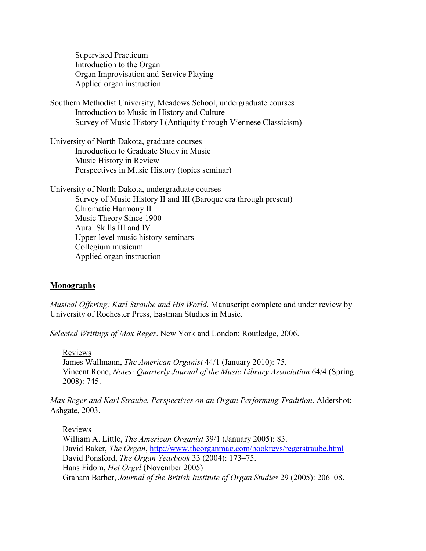Supervised Practicum Introduction to the Organ Organ Improvisation and Service Playing Applied organ instruction

Southern Methodist University, Meadows School, undergraduate courses Introduction to Music in History and Culture Survey of Music History I (Antiquity through Viennese Classicism)

University of North Dakota, graduate courses Introduction to Graduate Study in Music Music History in Review Perspectives in Music History (topics seminar)

University of North Dakota, undergraduate courses Survey of Music History II and III (Baroque era through present) Chromatic Harmony II Music Theory Since 1900 Aural Skills III and IV Upper-level music history seminars Collegium musicum Applied organ instruction

#### **Monographs**

*Musical Offering: Karl Straube and His World*. Manuscript complete and under review by University of Rochester Press, Eastman Studies in Music.

*Selected Writings of Max Reger*. New York and London: Routledge, 2006.

Reviews

James Wallmann, *The American Organist* 44/1 (January 2010): 75. Vincent Rone, *Notes: Quarterly Journal of the Music Library Association* 64/4 (Spring 2008): 745.

*Max Reger and Karl Straube. Perspectives on an Organ Performing Tradition*. Aldershot: Ashgate, 2003.

Reviews William A. Little, *The American Organist* 39/1 (January 2005): 83. David Baker, *The Organ*, http://www.theorganmag.com/bookrevs/regerstraube.html David Ponsford, *The Organ Yearbook* 33 (2004): 173–75. Hans Fidom, *Het Orgel* (November 2005) Graham Barber, *Journal of the British Institute of Organ Studies* 29 (2005): 206–08.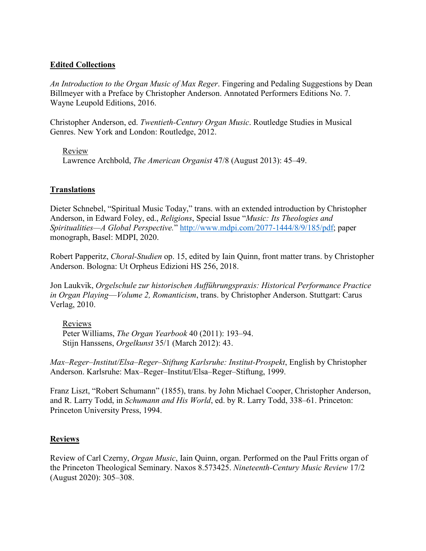#### **Edited Collections**

*An Introduction to the Organ Music of Max Reger*. Fingering and Pedaling Suggestions by Dean Billmeyer with a Preface by Christopher Anderson. Annotated Performers Editions No. 7. Wayne Leupold Editions, 2016.

Christopher Anderson, ed. *Twentieth-Century Organ Music*. Routledge Studies in Musical Genres. New York and London: Routledge, 2012.

Review Lawrence Archbold, *The American Organist* 47/8 (August 2013): 45–49.

### **Translations**

Dieter Schnebel, "Spiritual Music Today," trans. with an extended introduction by Christopher Anderson, in Edward Foley, ed., *Religions*, Special Issue "*Music: Its Theologies and Spiritualities—A Global Perspective.*" [http://www.mdpi.com/2077-1444/8/9/185/pdf;](http://www.mdpi.com/2077-1444/8/9/185/pdf) paper monograph, Basel: MDPI, 2020.

Robert Papperitz, *Choral-Studien* op. 15, edited by Iain Quinn, front matter trans. by Christopher Anderson. Bologna: Ut Orpheus Edizioni HS 256, 2018.

Jon Laukvik, *Orgelschule zur historischen Aufführungspraxis: Historical Performance Practice in Organ Playing*—*Volume 2, Romanticism*, trans. by Christopher Anderson. Stuttgart: Carus Verlag, 2010.

Reviews

Peter Williams, *The Organ Yearbook* 40 (2011): 193–94. Stijn Hanssens, *Orgelkunst* 35/1 (March 2012): 43.

*Max–Reger–Institut/Elsa–Reger–Stiftung Karlsruhe: Institut-Prospekt*, English by Christopher Anderson. Karlsruhe: Max–Reger–Institut/Elsa–Reger–Stiftung, 1999.

Franz Liszt, "Robert Schumann" (1855), trans. by John Michael Cooper, Christopher Anderson, and R. Larry Todd, in *Schumann and His World*, ed. by R. Larry Todd, 338–61. Princeton: Princeton University Press, 1994.

### **Reviews**

Review of Carl Czerny, *Organ Music*, Iain Quinn, organ. Performed on the Paul Fritts organ of the Princeton Theological Seminary. Naxos 8.573425. *Nineteenth-Century Music Review* 17/2 (August 2020): 305–308.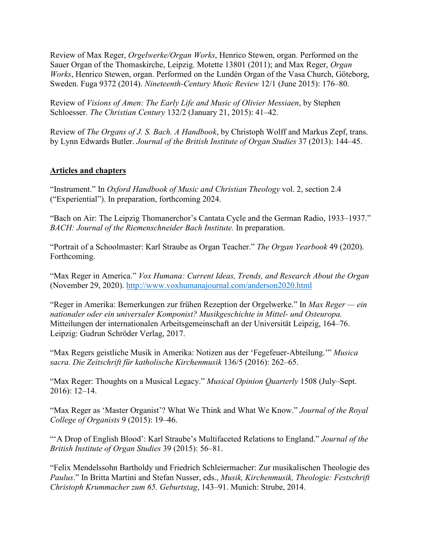Review of Max Reger, *Orgelwerke/Organ Works*, Henrico Stewen, organ. Performed on the Sauer Organ of the Thomaskirche, Leipzig. Motette 13801 (2011); and Max Reger, *Organ Works*, Henrico Stewen, organ. Performed on the Lundén Organ of the Vasa Church, Göteborg, Sweden. Fuga 9372 (2014). *Nineteenth-Century Music Review* 12/1 (June 2015): 176–80.

Review of *Visions of Amen: The Early Life and Music of Olivier Messiaen*, by Stephen Schloesser. *The Christian Century* 132/2 (January 21, 2015): 41–42.

Review of *The Organs of J. S. Bach. A Handbook*, by Christoph Wolff and Markus Zepf, trans. by Lynn Edwards Butler. *Journal of the British Institute of Organ Studies* 37 (2013): 144–45.

### **Articles and chapters**

"Instrument." In *Oxford Handbook of Music and Christian Theology* vol. 2, section 2.4 ("Experiential"). In preparation, forthcoming 2024.

"Bach on Air: The Leipzig Thomanerchor's Cantata Cycle and the German Radio, 1933–1937." *BACH: Journal of the Riemenschneider Bach Institute.* In preparation.

"Portrait of a Schoolmaster: Karl Straube as Organ Teacher." *The Organ Yearbook* 49 (2020). Forthcoming.

"Max Reger in America." *Vox Humana: Current Ideas, Trends, and Research About the Organ* (November 29, 2020).<http://www.voxhumanajournal.com/anderson2020.html>

"Reger in Amerika: Bemerkungen zur frühen Rezeption der Orgelwerke." In *Max Reger — ein nationaler oder ein universaler Komponist? Musikgeschichte in Mittel- und Osteuropa.*  Mitteilungen der internationalen Arbeitsgemeinschaft an der Universität Leipzig, 164–76. Leipzig: Gudrun Schröder Verlag, 2017.

"Max Regers geistliche Musik in Amerika: Notizen aus der 'Fegefeuer-Abteilung.'" *Musica sacra. Die Zeitschrift für katholische Kirchenmusik* 136/5 (2016): 262–65.

"Max Reger: Thoughts on a Musical Legacy." *Musical Opinion Quarterly* 1508 (July–Sept. 2016): 12–14.

"Max Reger as 'Master Organist'? What We Think and What We Know." *Journal of the Royal College of Organists* 9 (2015): 19–46.

"'A Drop of English Blood': Karl Straube's Multifaceted Relations to England." *Journal of the British Institute of Organ Studies* 39 (2015): 56–81.

"Felix Mendelssohn Bartholdy und Friedrich Schleiermacher: Zur musikalischen Theologie des *Paulus*." In Britta Martini and Stefan Nusser, eds., *Musik, Kirchenmusik, Theologie: Festschrift Christoph Krummacher zum 65. Geburtstag*, 143–91. Munich: Strube, 2014.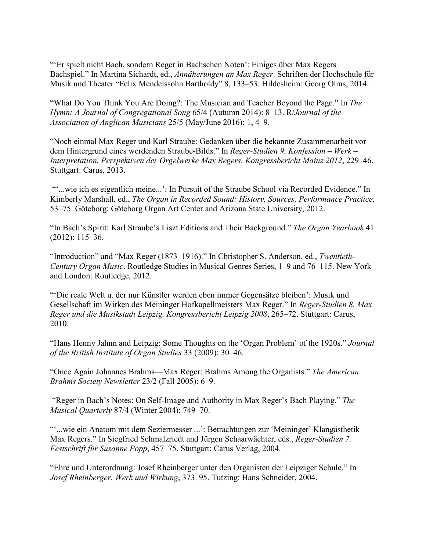"'Er spielt nicht Bach, sondern Reger in Bachschen Noten': Einiges über Max Regers Bachspiel." In Martina Sichardt, ed., *Annäherungen an Max Reger*. Schriften der Hochschule für Musik und Theater "Felix Mendelssohn Bartholdy" 8, 133–53. Hildesheim: Georg Olms, 2014.

"What Do You Think You Are Doing?: The Musician and Teacher Beyond the Page." In *The Hymn: A Journal of Congregational Song* 65/4 (Autumn 2014): 8–13. R/*Journal of the Association of Anglican Musicians* 25/5 (May/June 2016): 1, 4–9.

"Noch einmal Max Reger und Karl Straube: Gedanken über die bekannte Zusammenarbeit vor dem Hintergrund eines werdenden Straube-Bilds." In *Reger-Studien 9. Konfession – Werk – Interpretation. Perspektiven der Orgelwerke Max Regers. Kongressbericht Mainz 2012*, 229–46. Stuttgart: Carus, 2013.

"...wie ich es eigentlich meine...': In Pursuit of the Straube School via Recorded Evidence." In Kimberly Marshall, ed., *The Organ in Recorded Sound: History, Sources, Performance Practice*, 53–75. Göteborg: Göteborg Organ Art Center and Arizona State University, 2012.

"In Bach's Spirit: Karl Straube's Liszt Editions and Their Background." *The Organ Yearbook* 41 (2012): 115–36.

"Introduction" and "Max Reger (1873–1916)." In Christopher S. Anderson, ed., *Twentieth-Century Organ Music*. Routledge Studies in Musical Genres Series, 1–9 and 76–115. New York and London: Routledge, 2012.

"'Die reale Welt u. der nur Künstler werden eben immer Gegensätze bleiben': Musik und Gesellschaft im Wirken des Meininger Hofkapellmeisters Max Reger." In *Reger-Studien 8. Max Reger und die Musikstadt Leipzig. Kongressbericht Leipzig 2008*, 265–72. Stuttgart: Carus, 2010.

"Hans Henny Jahnn and Leipzig: Some Thoughts on the 'Organ Problem' of the 1920s." *Journal of the British Institute of Organ Studies* 33 (2009): 30–46.

"Once Again Johannes Brahms—Max Reger: Brahms Among the Organists." *The American Brahms Society Newsletter* 23/2 (Fall 2005): 6–9.

"Reger in Bach's Notes: On Self-Image and Authority in Max Reger's Bach Playing." *The Musical Quarterly* 87/4 (Winter 2004): 749–70.

"'...wie ein Anatom mit dem Seziermesser ...': Betrachtungen zur 'Meininger' Klangästhetik Max Regers." In Siegfried Schmalzriedt and Jürgen Schaarwächter, eds., *Reger-Studien 7. Festschrift für Susanne Popp*, 457–75. Stuttgart: Carus Verlag, 2004.

"Ehre und Unterordnung: Josef Rheinberger unter den Organisten der Leipziger Schule." In *Josef Rheinberger. Werk und Wirkung*, 373–95. Tutzing: Hans Schneider, 2004.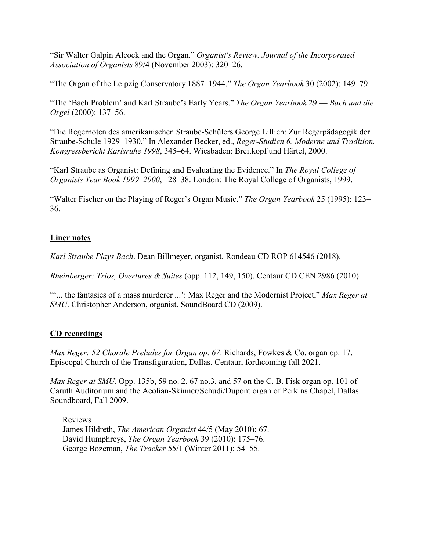"Sir Walter Galpin Alcock and the Organ." *Organist's Review. Journal of the Incorporated Association of Organists* 89/4 (November 2003): 320–26.

"The Organ of the Leipzig Conservatory 1887–1944." *The Organ Yearbook* 30 (2002): 149–79.

"The 'Bach Problem' and Karl Straube's Early Years." *The Organ Yearbook* 29 — *Bach und die Orgel* (2000): 137–56.

"Die Regernoten des amerikanischen Straube-Schülers George Lillich: Zur Regerpädagogik der Straube-Schule 1929–1930." In Alexander Becker, ed., *Reger-Studien 6. Moderne und Tradition. Kongressbericht Karlsruhe 1998*, 345–64. Wiesbaden: Breitkopf und Härtel, 2000.

"Karl Straube as Organist: Defining and Evaluating the Evidence." In *The Royal College of Organists Year Book 1999–2000*, 128–38. London: The Royal College of Organists, 1999.

"Walter Fischer on the Playing of Reger's Organ Music." *The Organ Yearbook* 25 (1995): 123– 36.

# **Liner notes**

*Karl Straube Plays Bach*. Dean Billmeyer, organist. Rondeau CD ROP 614546 (2018).

*Rheinberger: Trios, Overtures & Suites* (opp. 112, 149, 150). Centaur CD CEN 2986 (2010).

"'... the fantasies of a mass murderer ...': Max Reger and the Modernist Project," *Max Reger at SMU*. Christopher Anderson, organist. SoundBoard CD (2009).

# **CD recordings**

*Max Reger: 52 Chorale Preludes for Organ op. 67*. Richards, Fowkes & Co. organ op. 17, Episcopal Church of the Transfiguration, Dallas. Centaur, forthcoming fall 2021.

*Max Reger at SMU*. Opp. 135b, 59 no. 2, 67 no.3, and 57 on the C. B. Fisk organ op. 101 of Caruth Auditorium and the Aeolian-Skinner/Schudi/Dupont organ of Perkins Chapel, Dallas. Soundboard, Fall 2009.

Reviews James Hildreth, *The American Organist* 44/5 (May 2010): 67. David Humphreys, *The Organ Yearbook* 39 (2010): 175–76. George Bozeman, *The Tracker* 55/1 (Winter 2011): 54–55.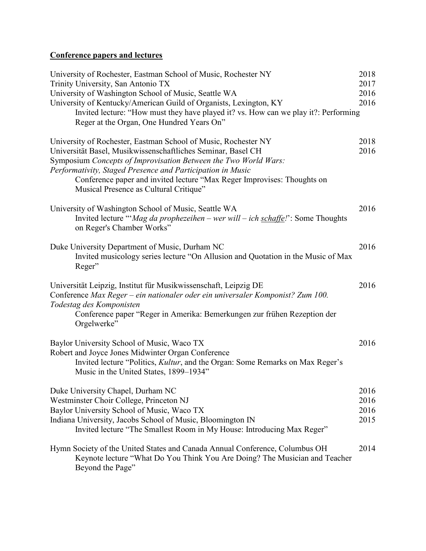# **Conference papers and lectures**

| University of Rochester, Eastman School of Music, Rochester NY<br>Trinity University, San Antonio TX                                                                          | 2018<br>2017 |
|-------------------------------------------------------------------------------------------------------------------------------------------------------------------------------|--------------|
|                                                                                                                                                                               | 2016         |
| University of Washington School of Music, Seattle WA                                                                                                                          | 2016         |
| University of Kentucky/American Guild of Organists, Lexington, KY                                                                                                             |              |
| Invited lecture: "How must they have played it? vs. How can we play it?: Performing<br>Reger at the Organ, One Hundred Years On"                                              |              |
| University of Rochester, Eastman School of Music, Rochester NY                                                                                                                | 2018         |
| Universität Basel, Musikwissenschaftliches Seminar, Basel CH                                                                                                                  | 2016         |
| Symposium Concepts of Improvisation Between the Two World Wars:                                                                                                               |              |
| Performativity, Staged Presence and Participation in Music                                                                                                                    |              |
| Conference paper and invited lecture "Max Reger Improvises: Thoughts on<br>Musical Presence as Cultural Critique"                                                             |              |
| University of Washington School of Music, Seattle WA                                                                                                                          | 2016         |
| Invited lecture "'Mag da prophezeihen - wer will - ich schaffe!': Some Thoughts<br>on Reger's Chamber Works"                                                                  |              |
| Duke University Department of Music, Durham NC                                                                                                                                | 2016         |
| Invited musicology series lecture "On Allusion and Quotation in the Music of Max<br>Reger"                                                                                    |              |
| Universität Leipzig, Institut für Musikwissenschaft, Leipzig DE                                                                                                               | 2016         |
| Conference Max Reger - ein nationaler oder ein universaler Komponist? Zum 100.<br>Todestag des Komponisten                                                                    |              |
| Conference paper "Reger in Amerika: Bemerkungen zur frühen Rezeption der<br>Orgelwerke"                                                                                       |              |
| Baylor University School of Music, Waco TX                                                                                                                                    | 2016         |
| Robert and Joyce Jones Midwinter Organ Conference                                                                                                                             |              |
| Invited lecture "Politics, Kultur, and the Organ: Some Remarks on Max Reger's<br>Music in the United States, 1899–1934"                                                       |              |
| Duke University Chapel, Durham NC                                                                                                                                             | 2016         |
| Westminster Choir College, Princeton NJ                                                                                                                                       | 2016         |
| Baylor University School of Music, Waco TX                                                                                                                                    | 2016         |
| Indiana University, Jacobs School of Music, Bloomington IN<br>Invited lecture "The Smallest Room in My House: Introducing Max Reger"                                          | 2015         |
| Hymn Society of the United States and Canada Annual Conference, Columbus OH<br>Keynote lecture "What Do You Think You Are Doing? The Musician and Teacher<br>Beyond the Page" | 2014         |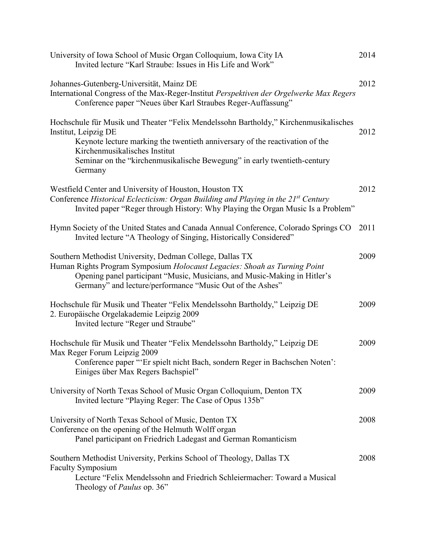| University of Iowa School of Music Organ Colloquium, Iowa City IA<br>Invited lecture "Karl Straube: Issues in His Life and Work"                                                                                                                                                                                     | 2014 |
|----------------------------------------------------------------------------------------------------------------------------------------------------------------------------------------------------------------------------------------------------------------------------------------------------------------------|------|
| Johannes-Gutenberg-Universität, Mainz DE<br>International Congress of the Max-Reger-Institut Perspektiven der Orgelwerke Max Regers<br>Conference paper "Neues über Karl Straubes Reger-Auffassung"                                                                                                                  | 2012 |
| Hochschule für Musik und Theater "Felix Mendelssohn Bartholdy," Kirchenmusikalisches<br>Institut, Leipzig DE<br>Keynote lecture marking the twentieth anniversary of the reactivation of the<br>Kirchenmusikalisches Institut<br>Seminar on the "kirchenmusikalische Bewegung" in early twentieth-century<br>Germany | 2012 |
| Westfield Center and University of Houston, Houston TX<br>Conference Historical Eclecticism: Organ Building and Playing in the 21 <sup>st</sup> Century<br>Invited paper "Reger through History: Why Playing the Organ Music Is a Problem"                                                                           | 2012 |
| Hymn Society of the United States and Canada Annual Conference, Colorado Springs CO<br>Invited lecture "A Theology of Singing, Historically Considered"                                                                                                                                                              | 2011 |
| Southern Methodist University, Dedman College, Dallas TX<br>Human Rights Program Symposium Holocaust Legacies: Shoah as Turning Point<br>Opening panel participant "Music, Musicians, and Music-Making in Hitler's<br>Germany" and lecture/performance "Music Out of the Ashes"                                      | 2009 |
| Hochschule für Musik und Theater "Felix Mendelssohn Bartholdy," Leipzig DE<br>2. Europäische Orgelakademie Leipzig 2009<br>Invited lecture "Reger und Straube"                                                                                                                                                       | 2009 |
| Hochschule für Musik und Theater "Felix Mendelssohn Bartholdy," Leipzig DE<br>Max Reger Forum Leipzig 2009<br>Conference paper "'Er spielt nicht Bach, sondern Reger in Bachschen Noten':<br>Einiges über Max Regers Bachspiel"                                                                                      | 2009 |
| University of North Texas School of Music Organ Colloquium, Denton TX<br>Invited lecture "Playing Reger: The Case of Opus 135b"                                                                                                                                                                                      | 2009 |
| University of North Texas School of Music, Denton TX<br>Conference on the opening of the Helmuth Wolff organ<br>Panel participant on Friedrich Ladegast and German Romanticism                                                                                                                                       | 2008 |
| Southern Methodist University, Perkins School of Theology, Dallas TX<br><b>Faculty Symposium</b><br>Lecture "Felix Mendelssohn and Friedrich Schleiermacher: Toward a Musical<br>Theology of <i>Paulus</i> op. 36"                                                                                                   | 2008 |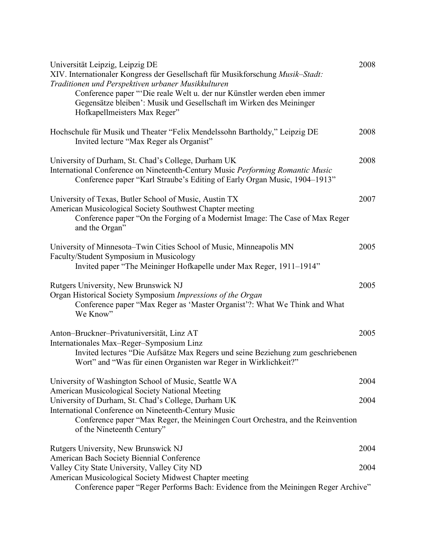| 2008<br>Universität Leipzig, Leipzig DE<br>XIV. Internationaler Kongress der Gesellschaft für Musikforschung Musik-Stadt:<br>Traditionen und Perspektiven urbaner Musikkulturen<br>Conference paper "Die reale Welt u. der nur Künstler werden eben immer<br>Gegensätze bleiben': Musik und Gesellschaft im Wirken des Meininger<br>Hofkapellmeisters Max Reger" |  |
|------------------------------------------------------------------------------------------------------------------------------------------------------------------------------------------------------------------------------------------------------------------------------------------------------------------------------------------------------------------|--|
| 2008<br>Hochschule für Musik und Theater "Felix Mendelssohn Bartholdy," Leipzig DE<br>Invited lecture "Max Reger als Organist"                                                                                                                                                                                                                                   |  |
| 2008<br>University of Durham, St. Chad's College, Durham UK<br>International Conference on Nineteenth-Century Music Performing Romantic Music<br>Conference paper "Karl Straube's Editing of Early Organ Music, 1904–1913"                                                                                                                                       |  |
| 2007<br>University of Texas, Butler School of Music, Austin TX<br>American Musicological Society Southwest Chapter meeting<br>Conference paper "On the Forging of a Modernist Image: The Case of Max Reger<br>and the Organ"                                                                                                                                     |  |
| 2005<br>University of Minnesota–Twin Cities School of Music, Minneapolis MN<br>Faculty/Student Symposium in Musicology<br>Invited paper "The Meininger Hofkapelle under Max Reger, 1911-1914"                                                                                                                                                                    |  |
| 2005<br>Rutgers University, New Brunswick NJ<br>Organ Historical Society Symposium Impressions of the Organ<br>Conference paper "Max Reger as 'Master Organist'?: What We Think and What<br>We Know"                                                                                                                                                             |  |
| Anton-Bruckner-Privatuniversität, Linz AT<br>2005<br>Internationales Max-Reger-Symposium Linz<br>Invited lectures "Die Aufsätze Max Regers und seine Beziehung zum geschriebenen<br>Wort" and "Was für einen Organisten war Reger in Wirklichkeit?"                                                                                                              |  |
| University of Washington School of Music, Seattle WA<br>2004                                                                                                                                                                                                                                                                                                     |  |
| American Musicological Society National Meeting<br>University of Durham, St. Chad's College, Durham UK<br>2004<br>International Conference on Nineteenth-Century Music<br>Conference paper "Max Reger, the Meiningen Court Orchestra, and the Reinvention                                                                                                        |  |
| of the Nineteenth Century"                                                                                                                                                                                                                                                                                                                                       |  |
| Rutgers University, New Brunswick NJ<br>2004<br>American Bach Society Biennial Conference                                                                                                                                                                                                                                                                        |  |
| Valley City State University, Valley City ND<br>2004<br>American Musicological Society Midwest Chapter meeting<br>Conference paper "Reger Performs Bach: Evidence from the Meiningen Reger Archive"                                                                                                                                                              |  |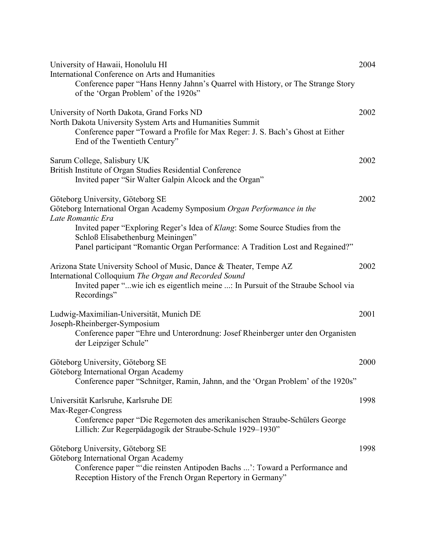| University of Hawaii, Honolulu HI<br>International Conference on Arts and Humanities<br>Conference paper "Hans Henny Jahnn's Quarrel with History, or The Strange Story<br>of the 'Organ Problem' of the 1920s"                  | 2004 |
|----------------------------------------------------------------------------------------------------------------------------------------------------------------------------------------------------------------------------------|------|
| University of North Dakota, Grand Forks ND<br>North Dakota University System Arts and Humanities Summit<br>Conference paper "Toward a Profile for Max Reger: J. S. Bach's Ghost at Either<br>End of the Twentieth Century"       | 2002 |
| Sarum College, Salisbury UK<br>British Institute of Organ Studies Residential Conference<br>Invited paper "Sir Walter Galpin Alcock and the Organ"                                                                               | 2002 |
| Göteborg University, Göteborg SE<br>Göteborg International Organ Academy Symposium Organ Performance in the<br>Late Romantic Era                                                                                                 | 2002 |
| Invited paper "Exploring Reger's Idea of Klang: Some Source Studies from the<br>Schloß Elisabethenburg Meiningen"<br>Panel participant "Romantic Organ Performance: A Tradition Lost and Regained?"                              |      |
| Arizona State University School of Music, Dance & Theater, Tempe AZ<br>International Colloquium The Organ and Recorded Sound<br>Invited paper "wie ich es eigentlich meine : In Pursuit of the Straube School via<br>Recordings" | 2002 |
| Ludwig-Maximilian-Universität, Munich DE<br>Joseph-Rheinberger-Symposium<br>Conference paper "Ehre und Unterordnung: Josef Rheinberger unter den Organisten<br>der Leipziger Schule"                                             | 2001 |
| Göteborg University, Göteborg SE<br>Göteborg International Organ Academy<br>Conference paper "Schnitger, Ramin, Jahnn, and the 'Organ Problem' of the 1920s"                                                                     | 2000 |
| Universität Karlsruhe, Karlsruhe DE<br>Max-Reger-Congress<br>Conference paper "Die Regernoten des amerikanischen Straube-Schülers George<br>Lillich: Zur Regerpädagogik der Straube-Schule 1929–1930"                            | 1998 |
| Göteborg University, Göteborg SE<br>Göteborg International Organ Academy<br>Conference paper "'die reinsten Antipoden Bachs ': Toward a Performance and<br>Reception History of the French Organ Repertory in Germany"           | 1998 |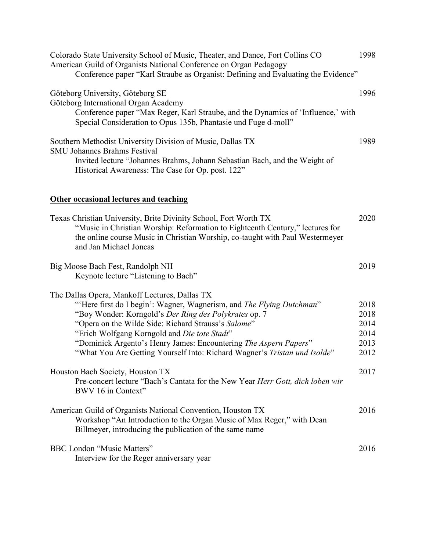| Colorado State University School of Music, Theater, and Dance, Fort Collins CO<br>American Guild of Organists National Conference on Organ Pedagogy<br>Conference paper "Karl Straube as Organist: Defining and Evaluating the Evidence"                                                                                                                                                                                               | 1998                                         |
|----------------------------------------------------------------------------------------------------------------------------------------------------------------------------------------------------------------------------------------------------------------------------------------------------------------------------------------------------------------------------------------------------------------------------------------|----------------------------------------------|
| Göteborg University, Göteborg SE<br>Göteborg International Organ Academy<br>Conference paper "Max Reger, Karl Straube, and the Dynamics of 'Influence,' with<br>Special Consideration to Opus 135b, Phantasie und Fuge d-moll"                                                                                                                                                                                                         | 1996                                         |
| Southern Methodist University Division of Music, Dallas TX<br><b>SMU Johannes Brahms Festival</b><br>Invited lecture "Johannes Brahms, Johann Sebastian Bach, and the Weight of<br>Historical Awareness: The Case for Op. post. 122"                                                                                                                                                                                                   | 1989                                         |
| <b>Other occasional lectures and teaching</b>                                                                                                                                                                                                                                                                                                                                                                                          |                                              |
| Texas Christian University, Brite Divinity School, Fort Worth TX<br>"Music in Christian Worship: Reformation to Eighteenth Century," lectures for<br>the online course Music in Christian Worship, co-taught with Paul Westermeyer<br>and Jan Michael Joncas                                                                                                                                                                           | 2020                                         |
| Big Moose Bach Fest, Randolph NH<br>Keynote lecture "Listening to Bach"                                                                                                                                                                                                                                                                                                                                                                | 2019                                         |
| The Dallas Opera, Mankoff Lectures, Dallas TX<br>"Here first do I begin': Wagner, Wagnerism, and The Flying Dutchman"<br>"Boy Wonder: Korngold's Der Ring des Polykrates op. 7<br>"Opera on the Wilde Side: Richard Strauss's Salome"<br>"Erich Wolfgang Korngold and Die tote Stadt"<br>"Dominick Argento's Henry James: Encountering The Aspern Papers"<br>"What You Are Getting Yourself Into: Richard Wagner's Tristan und Isolde" | 2018<br>2018<br>2014<br>2014<br>2013<br>2012 |
| Houston Bach Society, Houston TX<br>Pre-concert lecture "Bach's Cantata for the New Year <i>Herr Gott, dich loben wir</i><br>BWV 16 in Context"                                                                                                                                                                                                                                                                                        | 2017                                         |
| American Guild of Organists National Convention, Houston TX<br>Workshop "An Introduction to the Organ Music of Max Reger," with Dean<br>Billmeyer, introducing the publication of the same name                                                                                                                                                                                                                                        | 2016                                         |
| <b>BBC London "Music Matters"</b><br>Interview for the Reger anniversary year                                                                                                                                                                                                                                                                                                                                                          | 2016                                         |